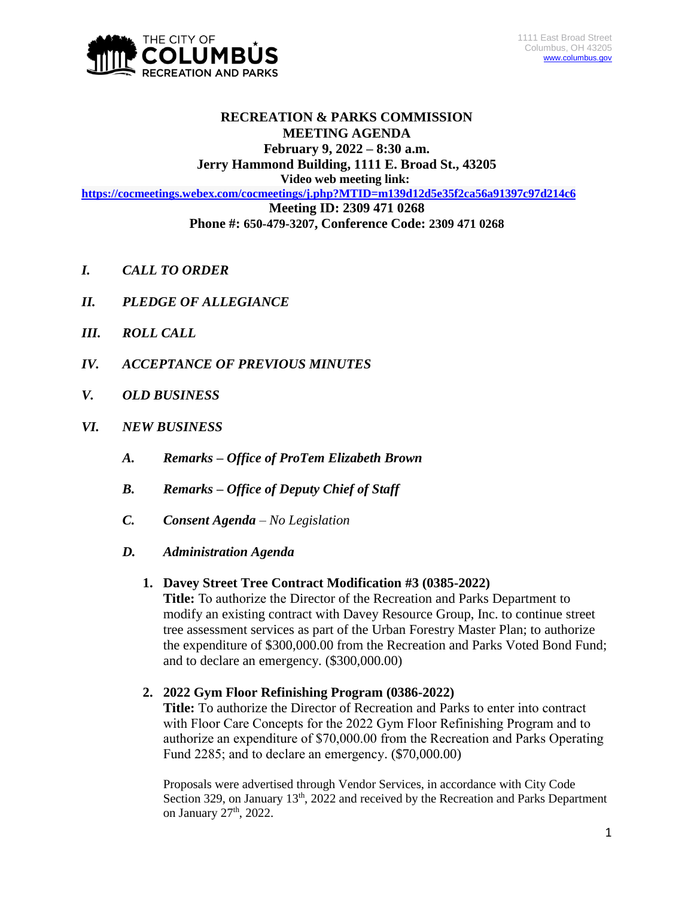

### **RECREATION & PARKS COMMISSION MEETING AGENDA February 9, 2022 – 8:30 a.m.**

# **Jerry Hammond Building, 1111 E. Broad St., 43205**

**Video web meeting link:**

**<https://cocmeetings.webex.com/cocmeetings/j.php?MTID=m139d12d5e35f2ca56a91397c97d214c6>**

**Meeting ID: 2309 471 0268**

**Phone #: 650-479-3207, Conference Code: 2309 471 0268**

- *I. CALL TO ORDER*
- *II. PLEDGE OF ALLEGIANCE*
- *III. ROLL CALL*
- *IV. ACCEPTANCE OF PREVIOUS MINUTES*
- *V. OLD BUSINESS*
- *VI. NEW BUSINESS*
	- *A. Remarks – Office of ProTem Elizabeth Brown*
	- *B. Remarks – Office of Deputy Chief of Staff*
	- *C. Consent Agenda – No Legislation*
	- *D. Administration Agenda*

# **1. Davey Street Tree Contract Modification #3 (0385-2022)**

**Title:** To authorize the Director of the Recreation and Parks Department to modify an existing contract with Davey Resource Group, Inc. to continue street tree assessment services as part of the Urban Forestry Master Plan; to authorize the expenditure of \$300,000.00 from the Recreation and Parks Voted Bond Fund; and to declare an emergency. (\$300,000.00)

# **2. 2022 Gym Floor Refinishing Program (0386-2022)**

**Title:** To authorize the Director of Recreation and Parks to enter into contract with Floor Care Concepts for the 2022 Gym Floor Refinishing Program and to authorize an expenditure of \$70,000.00 from the Recreation and Parks Operating Fund 2285; and to declare an emergency. (\$70,000.00)

Proposals were advertised through Vendor Services, in accordance with City Code Section 329, on January 13<sup>th</sup>, 2022 and received by the Recreation and Parks Department on January 27<sup>th</sup>, 2022.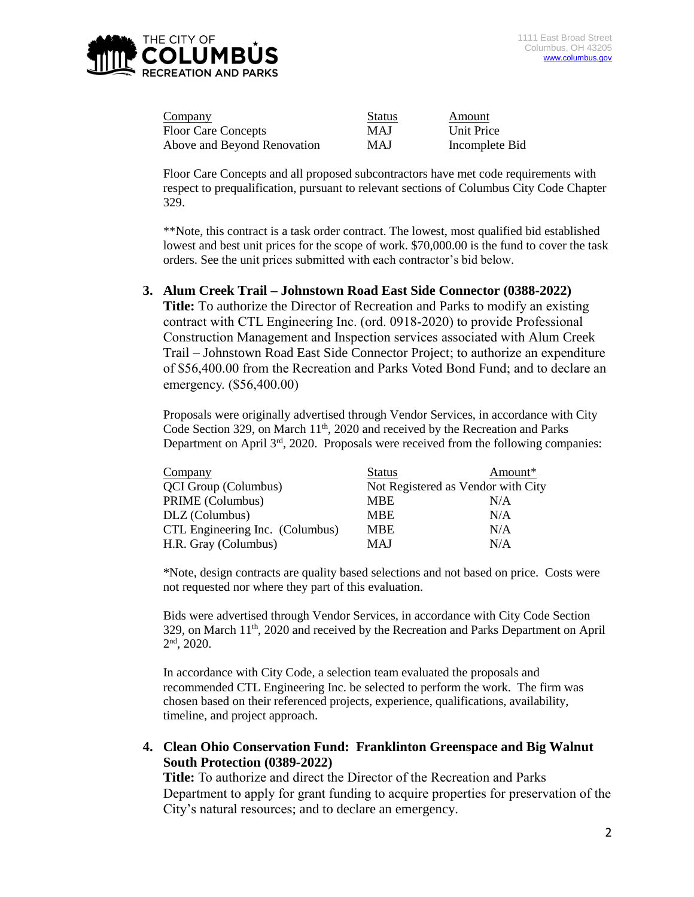

| Company                     | <b>Status</b> | Amount         |
|-----------------------------|---------------|----------------|
| <b>Floor Care Concepts</b>  | MAJ           | Unit Price     |
| Above and Beyond Renovation | MAJ           | Incomplete Bid |

Floor Care Concepts and all proposed subcontractors have met code requirements with respect to prequalification, pursuant to relevant sections of Columbus City Code Chapter 329.

\*\*Note, this contract is a task order contract. The lowest, most qualified bid established lowest and best unit prices for the scope of work. \$70,000.00 is the fund to cover the task orders. See the unit prices submitted with each contractor's bid below.

#### **3. Alum Creek Trail – Johnstown Road East Side Connector (0388-2022)**

**Title:** To authorize the Director of Recreation and Parks to modify an existing contract with CTL Engineering Inc. (ord. 0918-2020) to provide Professional Construction Management and Inspection services associated with Alum Creek Trail – Johnstown Road East Side Connector Project; to authorize an expenditure of \$56,400.00 from the Recreation and Parks Voted Bond Fund; and to declare an emergency. (\$56,400.00)

Proposals were originally advertised through Vendor Services, in accordance with City Code Section 329, on March 11<sup>th</sup>, 2020 and received by the Recreation and Parks Department on April 3<sup>rd</sup>, 2020. Proposals were received from the following companies:

| Company                         | <b>Status</b> | Amount <sup>*</sup>                |  |
|---------------------------------|---------------|------------------------------------|--|
| <b>QCI</b> Group (Columbus)     |               | Not Registered as Vendor with City |  |
| PRIME (Columbus)                | <b>MBE</b>    | N/A                                |  |
| DLZ (Columbus)                  | <b>MBE</b>    | N/A                                |  |
| CTL Engineering Inc. (Columbus) | <b>MBE</b>    | N/A                                |  |
| H.R. Gray (Columbus)            | <b>MAJ</b>    | N/A                                |  |

\*Note, design contracts are quality based selections and not based on price. Costs were not requested nor where they part of this evaluation.

Bids were advertised through Vendor Services, in accordance with City Code Section 329, on March  $11<sup>th</sup>$ , 2020 and received by the Recreation and Parks Department on April 2 nd, 2020.

In accordance with City Code, a selection team evaluated the proposals and recommended CTL Engineering Inc. be selected to perform the work. The firm was chosen based on their referenced projects, experience, qualifications, availability, timeline, and project approach.

#### **4. Clean Ohio Conservation Fund: Franklinton Greenspace and Big Walnut South Protection (0389-2022)**

**Title:** To authorize and direct the Director of the Recreation and Parks Department to apply for grant funding to acquire properties for preservation of the City's natural resources; and to declare an emergency.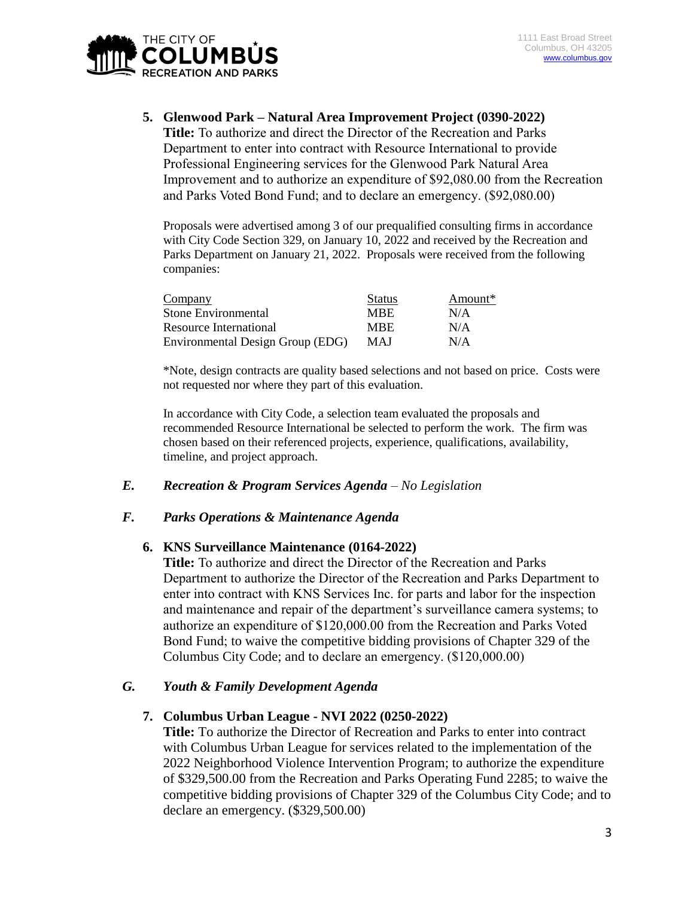

**5. Glenwood Park – Natural Area Improvement Project (0390-2022)**

**Title:** To authorize and direct the Director of the Recreation and Parks Department to enter into contract with Resource International to provide Professional Engineering services for the Glenwood Park Natural Area Improvement and to authorize an expenditure of \$92,080.00 from the Recreation and Parks Voted Bond Fund; and to declare an emergency. (\$92,080.00)

Proposals were advertised among 3 of our prequalified consulting firms in accordance with City Code Section 329, on January 10, 2022 and received by the Recreation and Parks Department on January 21, 2022. Proposals were received from the following companies:

| Company                          | <b>Status</b> | Amount* |
|----------------------------------|---------------|---------|
| Stone Environmental              | <b>MBE</b>    | N/A     |
| Resource International           | <b>MBE</b>    | N/A     |
| Environmental Design Group (EDG) | <b>MAJ</b>    | N/A     |

\*Note, design contracts are quality based selections and not based on price. Costs were not requested nor where they part of this evaluation.

In accordance with City Code, a selection team evaluated the proposals and recommended Resource International be selected to perform the work. The firm was chosen based on their referenced projects, experience, qualifications, availability, timeline, and project approach.

#### *E. Recreation & Program Services Agenda – No Legislation*

### *F. Parks Operations & Maintenance Agenda*

#### **6. KNS Surveillance Maintenance (0164-2022)**

**Title:** To authorize and direct the Director of the Recreation and Parks Department to authorize the Director of the Recreation and Parks Department to enter into contract with KNS Services Inc. for parts and labor for the inspection and maintenance and repair of the department's surveillance camera systems; to authorize an expenditure of \$120,000.00 from the Recreation and Parks Voted Bond Fund; to waive the competitive bidding provisions of Chapter 329 of the Columbus City Code; and to declare an emergency. (\$120,000.00)

### *G. Youth & Family Development Agenda*

#### **7. Columbus Urban League - NVI 2022 (0250-2022)**

**Title:** To authorize the Director of Recreation and Parks to enter into contract with Columbus Urban League for services related to the implementation of the 2022 Neighborhood Violence Intervention Program; to authorize the expenditure of \$329,500.00 from the Recreation and Parks Operating Fund 2285; to waive the competitive bidding provisions of Chapter 329 of the Columbus City Code; and to declare an emergency. (\$329,500.00)